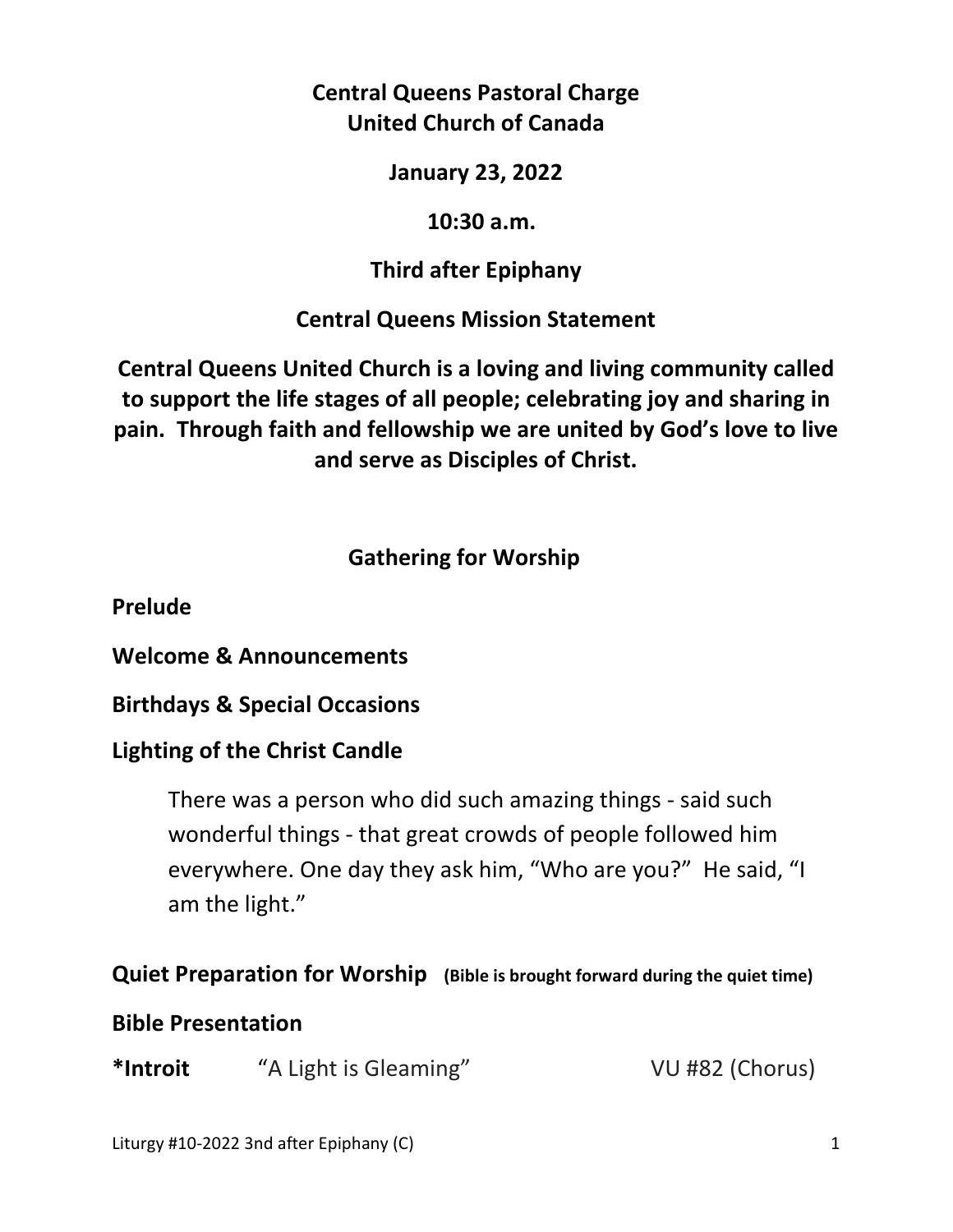**Central Queens Pastoral Charge United Church of Canada** 

**January 23, 2022** 

 **10:30 a.m.** 

**Third after Epiphany** 

**Central Queens Mission Statement** 

**Central Queens United Church is a loving and living community called to support the life stages of all people; celebrating joy and sharing in pain. Through faith and fellowship we are united by God's love to live and serve as Disciples of Christ.**

# **Gathering for Worship**

**Prelude** 

**Welcome & Announcements** 

**Birthdays & Special Occasions** 

# **Lighting of the Christ Candle**

There was a person who did such amazing things - said such wonderful things - that great crowds of people followed him everywhere. One day they ask him, "Who are you?" He said, "I am the light."

# **Quiet Preparation for Worship (Bible is brought forward during the quiet time)**

# **Bible Presentation**

**\*Introit** "A Light is Gleaming" VU #82 (Chorus)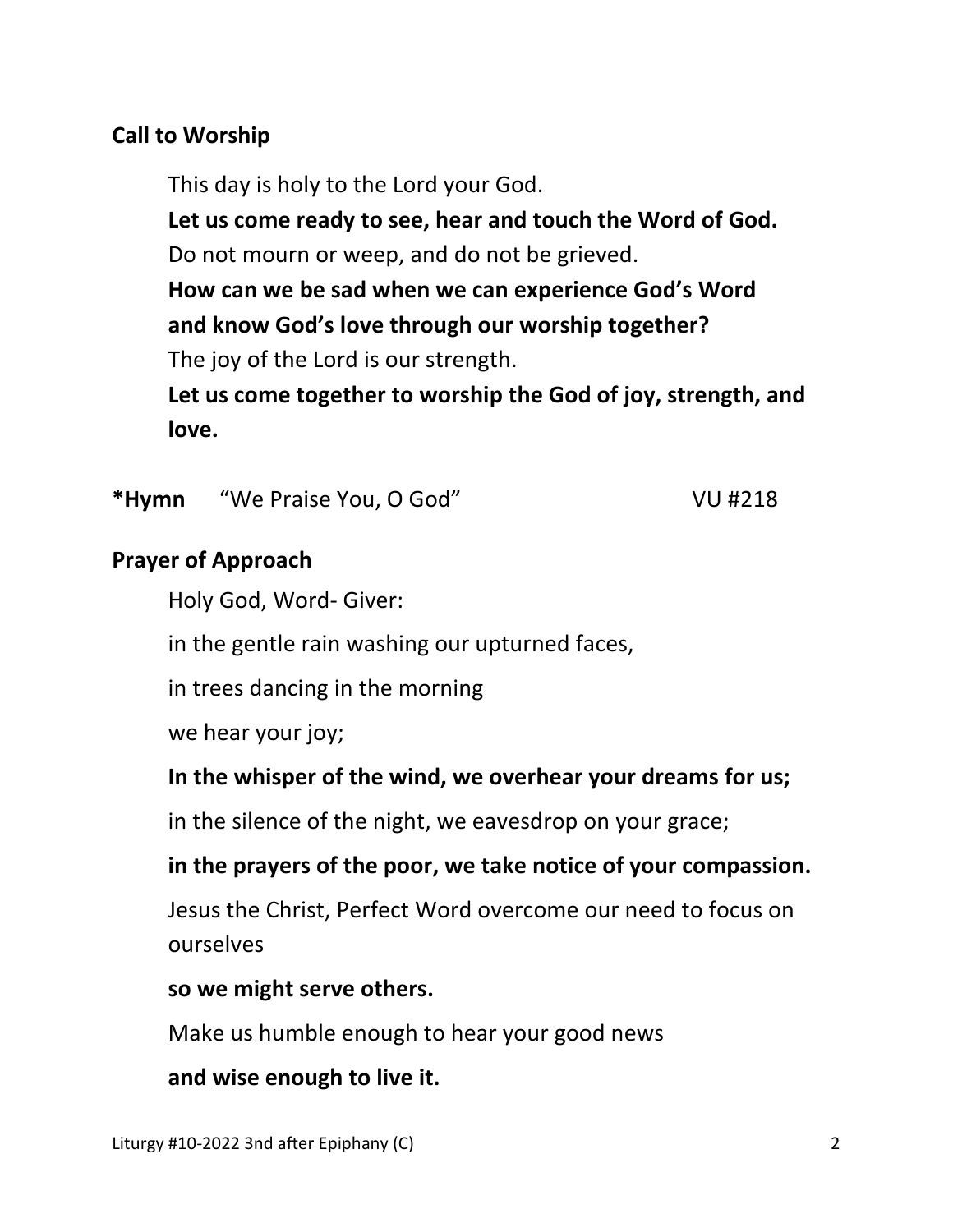### **Call to Worship**

This day is holy to the Lord your God.

 **Let us come ready to see, hear and touch the Word of God.**  Do not mourn or weep, and do not be grieved.

 **How can we be sad when we can experience God's Word and know God's love through our worship together?** The joy of the Lord is our strength.

 **Let us come together to worship the God of joy, strength, and love.** 

\*Hymn 
"We Praise You, O God" VU #218

#### **Prayer of Approach**

Holy God, Word- Giver:

in the gentle rain washing our upturned faces,

in trees dancing in the morning

we hear your joy;

 **In the whisper of the wind, we overhear your dreams for us;** 

in the silence of the night, we eavesdrop on your grace;

 **in the prayers of the poor, we take notice of your compassion.** 

 Jesus the Christ, Perfect Word overcome our need to focus on ourselves

#### **so we might serve others.**

Make us humble enough to hear your good news

 **and wise enough to live it.**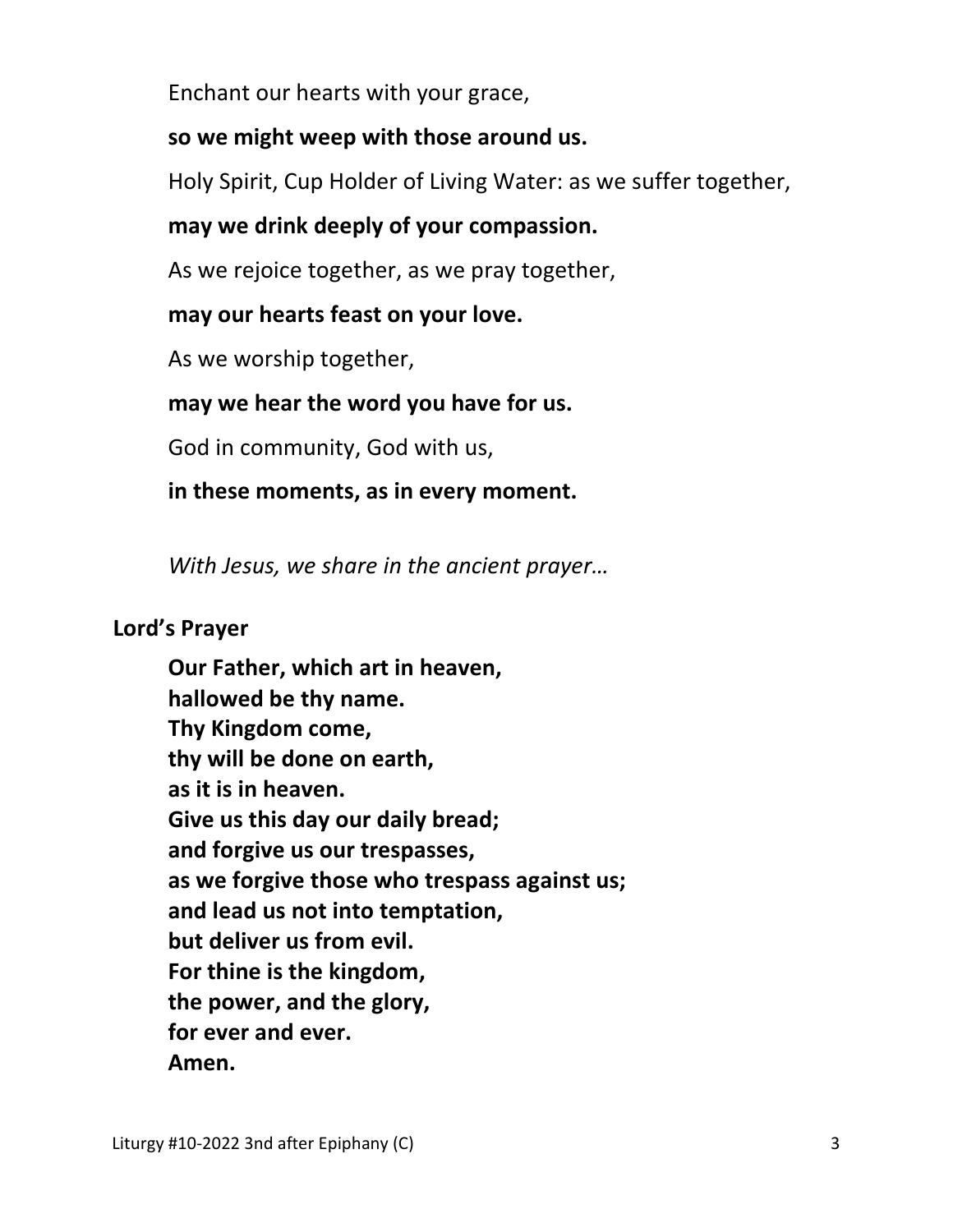Enchant our hearts with your grace,

### **so we might weep with those around us.**

Holy Spirit, Cup Holder of Living Water: as we suffer together,

## **may we drink deeply of your compassion.**

As we rejoice together, as we pray together,

### **may our hearts feast on your love.**

As we worship together,

# **may we hear the word you have for us.**

God in community, God with us,

### **in these moments, as in every moment.**

*With Jesus, we share in the ancient prayer…* 

### **Lord's Prayer**

**Our Father, which art in heaven, hallowed be thy name. Thy Kingdom come, thy will be done on earth, as it is in heaven. Give us this day our daily bread; and forgive us our trespasses, as we forgive those who trespass against us; and lead us not into temptation, but deliver us from evil. For thine is the kingdom, the power, and the glory, for ever and ever. Amen.**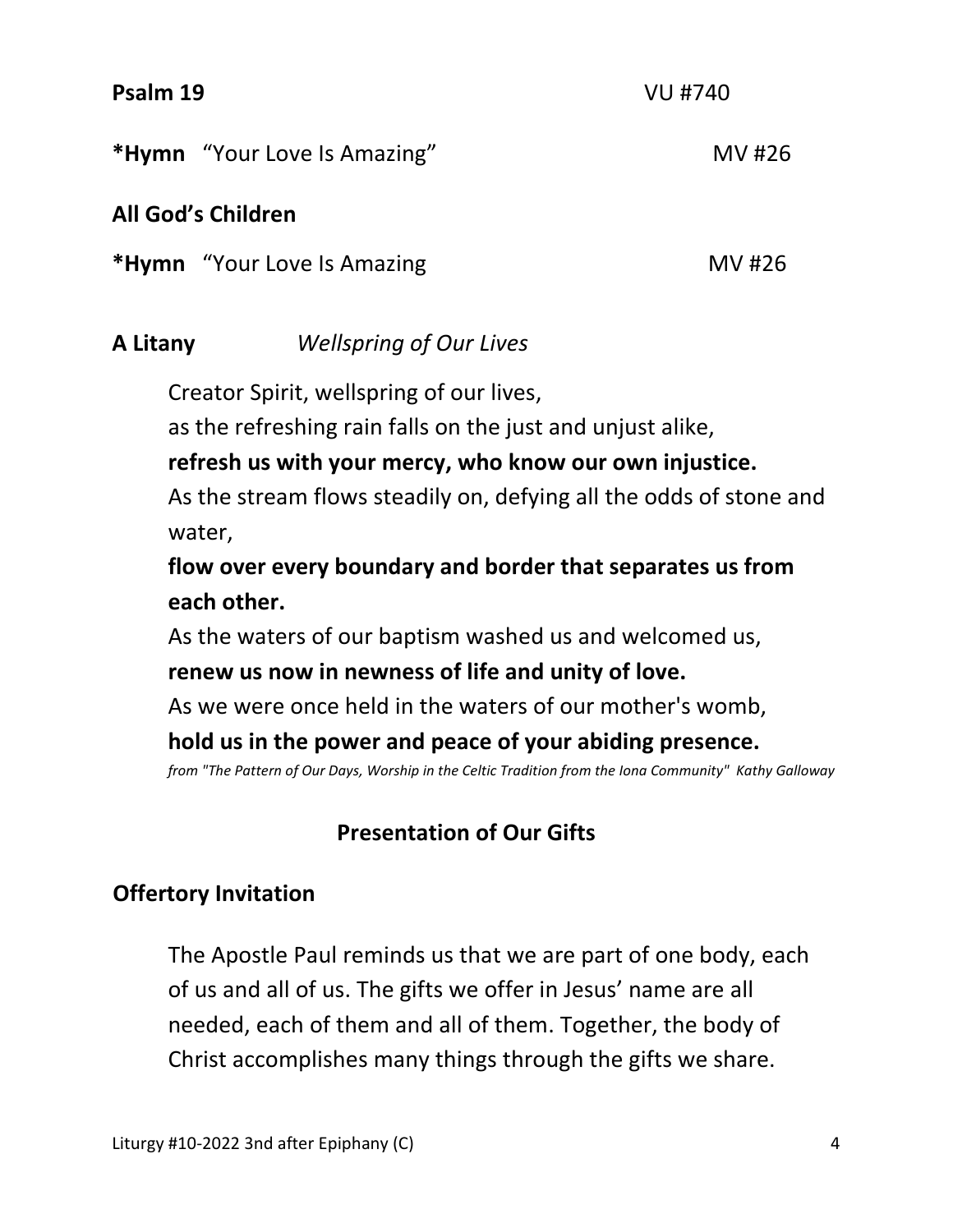#### **Psalm 19** VU #740

\*Hymn "Your Love Is Amazing" MV #26

### **All God's Children**

**\*Hymn** "Your Love Is Amazing MV #26

## **A Litany** *Wellspring of Our Lives*

Creator Spirit, wellspring of our lives,

as the refreshing rain falls on the just and unjust alike,

 **refresh us with your mercy, who know our own injustice.** 

 As the stream flows steadily on, defying all the odds of stone and water,

 **flow over every boundary and border that separates us from each other.** 

As the waters of our baptism washed us and welcomed us,

### **renew us now in newness of life and unity of love.**

As we were once held in the waters of our mother's womb,

### **hold us in the power and peace of your abiding presence.**

*from "The Pattern of Our Days, Worship in the Celtic Tradition from the Iona Community" Kathy Galloway* 

## **Presentation of Our Gifts**

## **Offertory Invitation**

The Apostle Paul reminds us that we are part of one body, each of us and all of us. The gifts we offer in Jesus' name are all needed, each of them and all of them. Together, the body of Christ accomplishes many things through the gifts we share.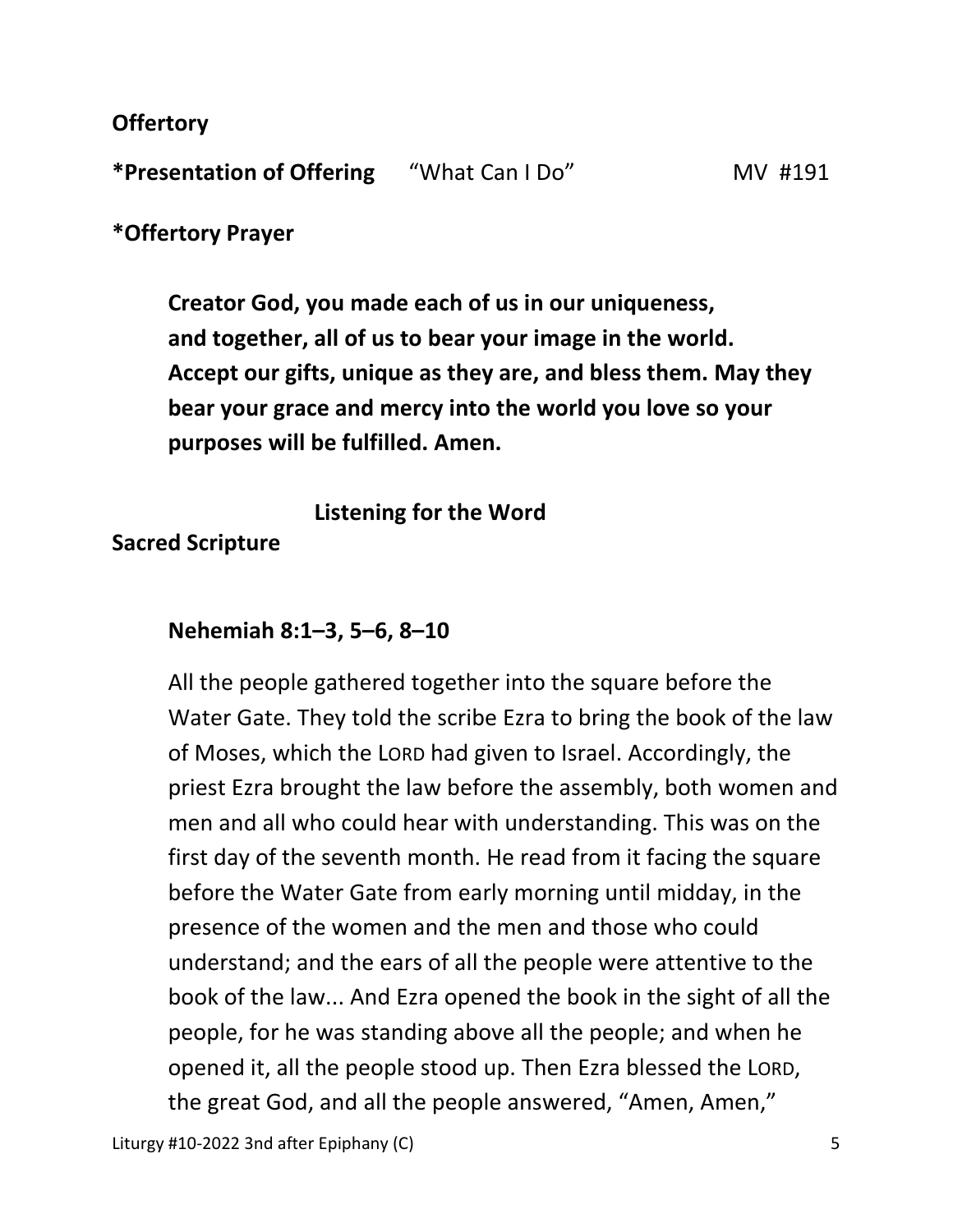**Offertory** 

**\*Presentation of Offering** "What Can I Do" MV #191

**\*Offertory Prayer** 

 **Creator God, you made each of us in our uniqueness, and together, all of us to bear your image in the world. Accept our gifts, unique as they are, and bless them. May they bear your grace and mercy into the world you love so your purposes will be fulfilled. Amen.** 

 **Listening for the Word** 

**Sacred Scripture** 

## **Nehemiah 8:1–3, 5–6, 8–10**

All the people gathered together into the square before the Water Gate. They told the scribe Ezra to bring the book of the law of Moses, which the LORD had given to Israel. Accordingly, the priest Ezra brought the law before the assembly, both women and men and all who could hear with understanding. This was on the first day of the seventh month. He read from it facing the square before the Water Gate from early morning until midday, in the presence of the women and the men and those who could understand; and the ears of all the people were attentive to the book of the law... And Ezra opened the book in the sight of all the people, for he was standing above all the people; and when he opened it, all the people stood up. Then Ezra blessed the LORD, the great God, and all the people answered, "Amen, Amen,"

Liturgy #10-2022 3nd after Epiphany (C) 5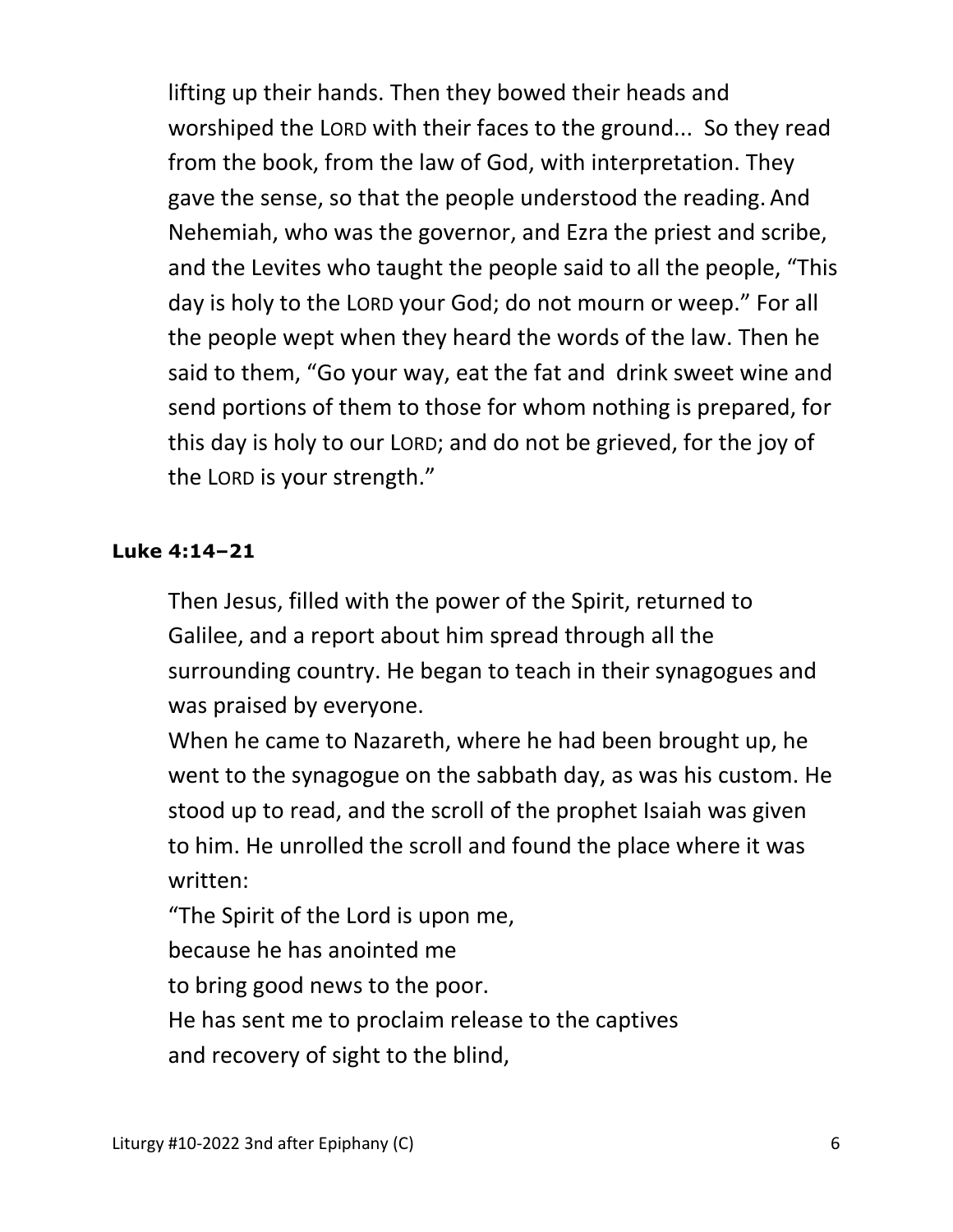lifting up their hands. Then they bowed their heads and worshiped the LORD with their faces to the ground... So they read from the book, from the law of God, with interpretation. They gave the sense, so that the people understood the reading. And Nehemiah, who was the governor, and Ezra the priest and scribe, and the Levites who taught the people said to all the people, "This day is holy to the LORD your God; do not mourn or weep." For all the people wept when they heard the words of the law. Then he said to them, "Go your way, eat the fat and drink sweet wine and send portions of them to those for whom nothing is prepared, for this day is holy to our LORD; and do not be grieved, for the joy of the LORD is your strength."

#### **Luke 4:14–21**

Then Jesus, filled with the power of the Spirit, returned to Galilee, and a report about him spread through all the surrounding country. He began to teach in their synagogues and was praised by everyone.

When he came to Nazareth, where he had been brought up, he went to the synagogue on the sabbath day, as was his custom. He stood up to read, and the scroll of the prophet Isaiah was given to him. He unrolled the scroll and found the place where it was written:

"The Spirit of the Lord is upon me,

because he has anointed me

to bring good news to the poor.

He has sent me to proclaim release to the captives

and recovery of sight to the blind,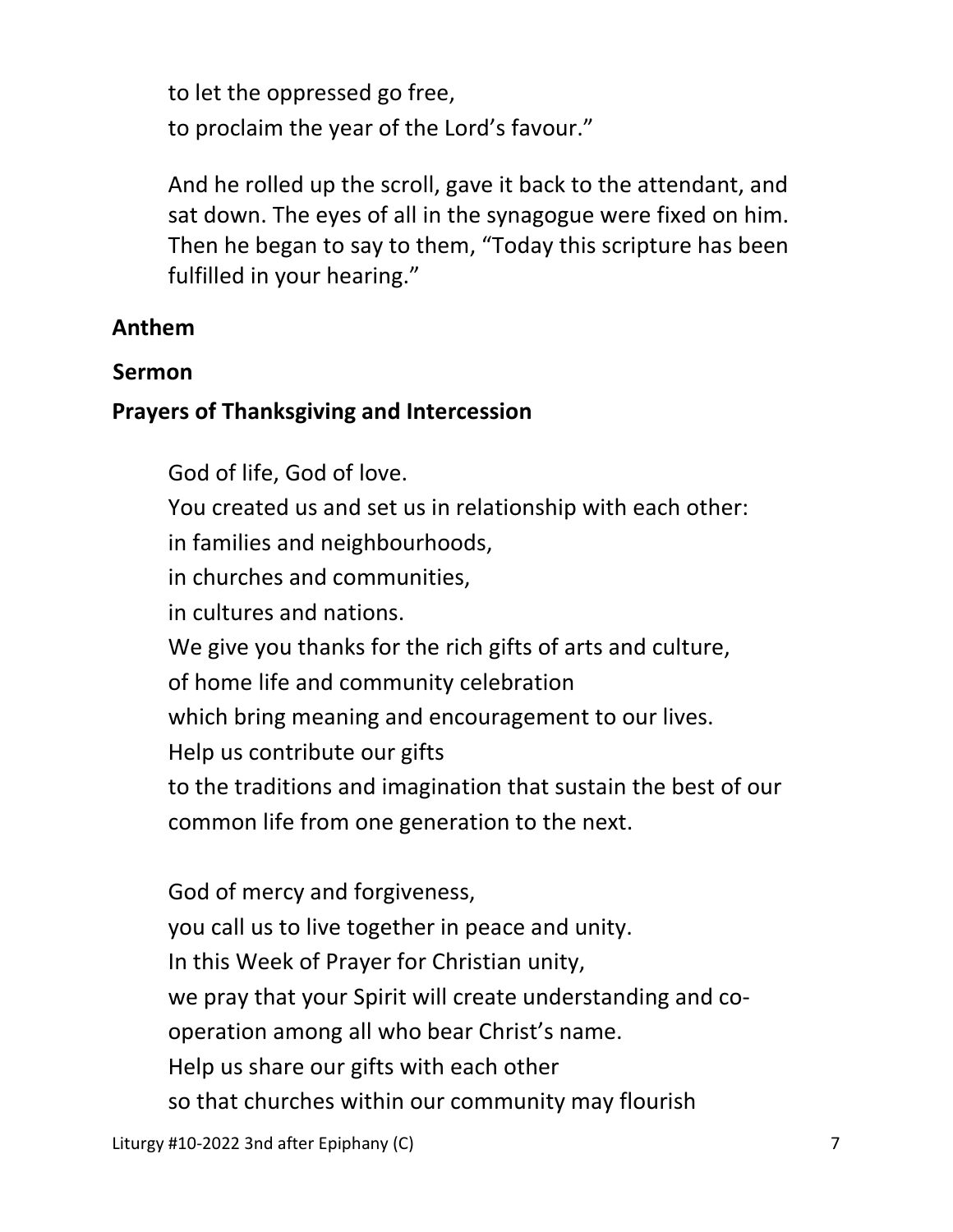to let the oppressed go free, to proclaim the year of the Lord's favour."

And he rolled up the scroll, gave it back to the attendant, and sat down. The eyes of all in the synagogue were fixed on him. Then he began to say to them, "Today this scripture has been fulfilled in your hearing."

#### **Anthem**

#### **Sermon**

#### **Prayers of Thanksgiving and Intercession**

God of life, God of love.

You created us and set us in relationship with each other:

in families and neighbourhoods,

in churches and communities,

in cultures and nations.

We give you thanks for the rich gifts of arts and culture,

of home life and community celebration

which bring meaning and encouragement to our lives.

Help us contribute our gifts

to the traditions and imagination that sustain the best of our

common life from one generation to the next.

 God of mercy and forgiveness, you call us to live together in peace and unity. In this Week of Prayer for Christian unity, we pray that your Spirit will create understanding and co operation among all who bear Christ's name. Help us share our gifts with each other so that churches within our community may flourish

Liturgy #10-2022 3nd after Epiphany (C) **7** and 2012 7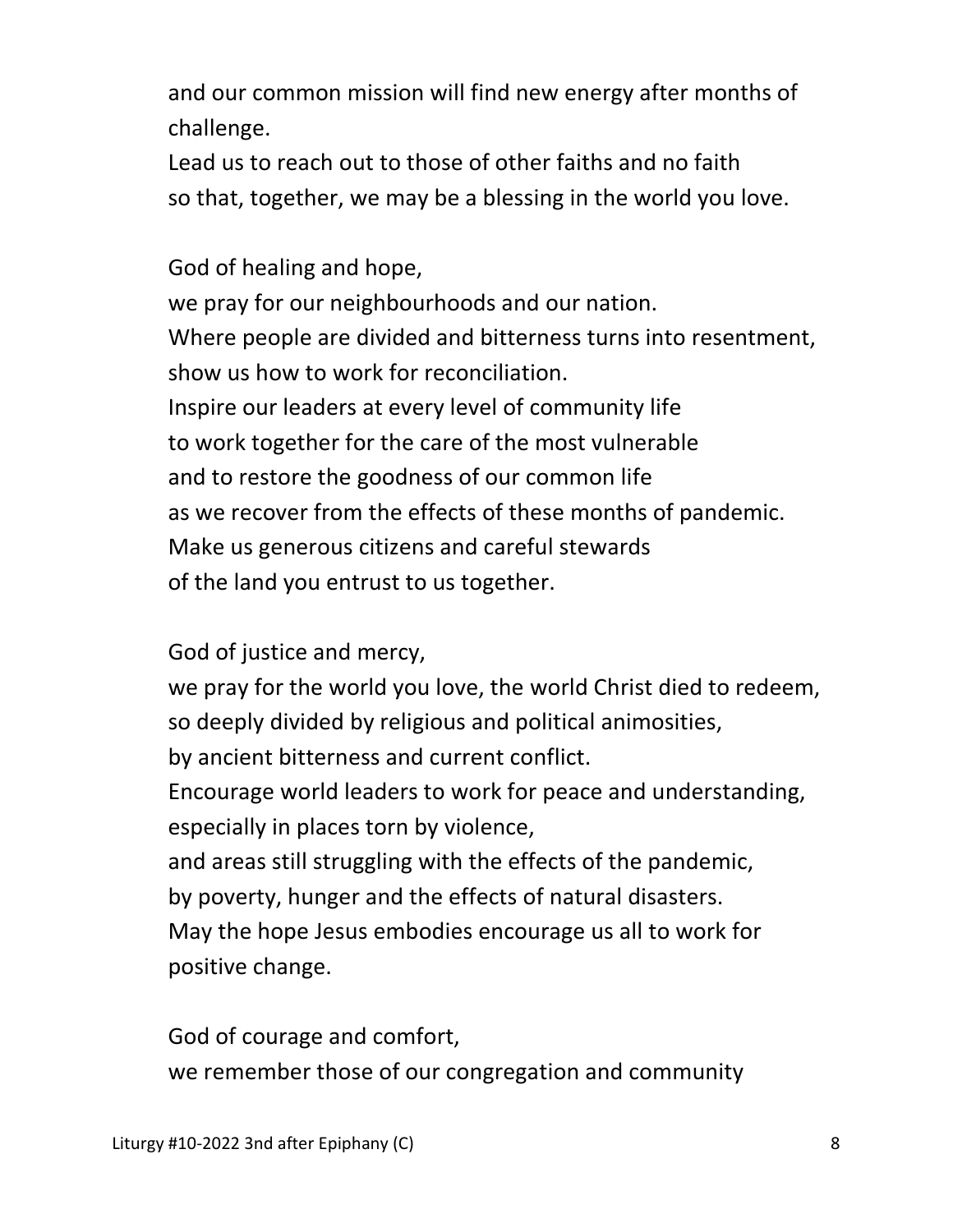and our common mission will find new energy after months of challenge.

 Lead us to reach out to those of other faiths and no faith so that, together, we may be a blessing in the world you love.

 God of healing and hope, we pray for our neighbourhoods and our nation. Where people are divided and bitterness turns into resentment, show us how to work for reconciliation. Inspire our leaders at every level of community life to work together for the care of the most vulnerable and to restore the goodness of our common life as we recover from the effects of these months of pandemic. Make us generous citizens and careful stewards of the land you entrust to us together.

God of justice and mercy,

 we pray for the world you love, the world Christ died to redeem, so deeply divided by religious and political animosities,

by ancient bitterness and current conflict.

 Encourage world leaders to work for peace and understanding, especially in places torn by violence,

 and areas still struggling with the effects of the pandemic, by poverty, hunger and the effects of natural disasters.

 May the hope Jesus embodies encourage us all to work for positive change.

 God of courage and comfort, we remember those of our congregation and community